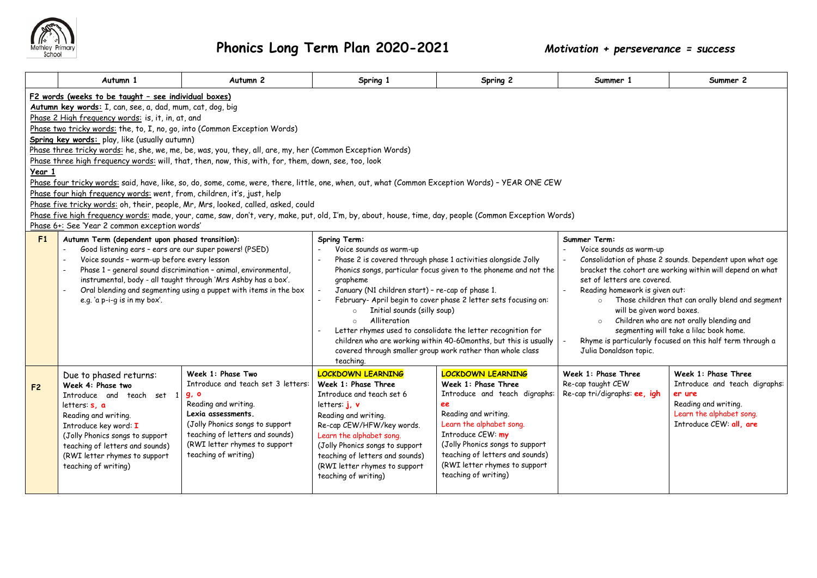

|                | Autumn 1                                                                                                                                                                                                                                                                                                                                                                                                                                                                                                                                                                                                                                                                                                                                                                                                                                                                                                                                                                                                                                                 | Autumn <sub>2</sub>                                                                                                                                                                                                                                         | Spring 1                                                                                                                                                                                                                                                                                                                                                                                                                                                                                                                                                                                            | Spring 2                                                                                                                                                                                                                                                                                       | Summer 1                                                                                                                                                                                                                                                                                                                                                                                                                                                                                                               | Summer 2                                                                                                                                      |  |  |  |
|----------------|----------------------------------------------------------------------------------------------------------------------------------------------------------------------------------------------------------------------------------------------------------------------------------------------------------------------------------------------------------------------------------------------------------------------------------------------------------------------------------------------------------------------------------------------------------------------------------------------------------------------------------------------------------------------------------------------------------------------------------------------------------------------------------------------------------------------------------------------------------------------------------------------------------------------------------------------------------------------------------------------------------------------------------------------------------|-------------------------------------------------------------------------------------------------------------------------------------------------------------------------------------------------------------------------------------------------------------|-----------------------------------------------------------------------------------------------------------------------------------------------------------------------------------------------------------------------------------------------------------------------------------------------------------------------------------------------------------------------------------------------------------------------------------------------------------------------------------------------------------------------------------------------------------------------------------------------------|------------------------------------------------------------------------------------------------------------------------------------------------------------------------------------------------------------------------------------------------------------------------------------------------|------------------------------------------------------------------------------------------------------------------------------------------------------------------------------------------------------------------------------------------------------------------------------------------------------------------------------------------------------------------------------------------------------------------------------------------------------------------------------------------------------------------------|-----------------------------------------------------------------------------------------------------------------------------------------------|--|--|--|
| Year 1         | F2 words (weeks to be taught - see individual boxes)<br>Autumn key words: I, can, see, a, dad, mum, cat, dog, big<br>Phase 2 High frequency words: is, it, in, at, and<br>Phase two tricky words: the, to, I, no, go, into (Common Exception Words)<br>Spring key words: play, like (usually autumn)<br>Phase three tricky words: he, she, we, me, be, was, you, they, all, are, my, her (Common Exception Words)<br>Phase three high frequency words: will, that, then, now, this, with, for, them, down, see, too, look<br>Phase four tricky words: said, have, like, so, do, some, come, were, there, little, one, when, out, what (Common Exception Words) - YEAR ONE CEW<br>Phase four high frequency words: went, from, children, it's, just, help<br>Phase five tricky words: oh, their, people, Mr, Mrs, looked, called, asked, could<br>Phase five high frequency words: made, your, came, saw, don't, very, make, put, old, I'm, by, about, house, time, day, people (Common Exception Words)<br>Phase 6+: See 'Year 2 common exception words' |                                                                                                                                                                                                                                                             |                                                                                                                                                                                                                                                                                                                                                                                                                                                                                                                                                                                                     |                                                                                                                                                                                                                                                                                                |                                                                                                                                                                                                                                                                                                                                                                                                                                                                                                                        |                                                                                                                                               |  |  |  |
| F1             | Autumn Term (dependent upon phased transition):<br>Good listening ears - ears are our super powers! (PSED)<br>Voice sounds - warm-up before every lesson<br>Phase 1 - general sound discrimination - animal, environmental,<br>instrumental, body - all taught through 'Mrs Ashby has a box'.<br>Oral blending and segmenting using a puppet with items in the box<br>e.g. 'a p-i-g is in my box'.                                                                                                                                                                                                                                                                                                                                                                                                                                                                                                                                                                                                                                                       |                                                                                                                                                                                                                                                             | Spring Term:<br>Voice sounds as warm-up<br>Phase 2 is covered through phase 1 activities alongside Jolly<br>Phonics songs, particular focus given to the phoneme and not the<br>grapheme<br>January (N1 children start) - re-cap of phase 1.<br>February- April begin to cover phase 2 letter sets focusing on:<br>Initial sounds (silly soup)<br>$\circ$<br>Alliteration<br>$\circ$<br>Letter rhymes used to consolidate the letter recognition for<br>children who are working within 40-60months, but this is usually<br>covered through smaller group work rather than whole class<br>teaching. |                                                                                                                                                                                                                                                                                                | Summer Term:<br>Voice sounds as warm-up<br>Consolidation of phase 2 sounds. Dependent upon what age<br>bracket the cohort are working within will depend on what<br>set of letters are covered.<br>Reading homework is given out:<br>Those children that can orally blend and segment<br>$\circ$<br>will be given word boxes.<br>Children who are not orally blending and<br>$\circ$<br>segmenting will take a lilac book home.<br>Rhyme is particularly focused on this half term through a<br>Julia Donaldson topic. |                                                                                                                                               |  |  |  |
| F <sub>2</sub> | Due to phased returns:<br>Week 4: Phase two<br>Introduce and teach set 1<br>letters: <b>s</b> . <b>a</b><br>Reading and writing.<br>Introduce key word: I<br>(Jolly Phonics songs to support<br>teaching of letters and sounds)<br>(RWI letter rhymes to support<br>teaching of writing)                                                                                                                                                                                                                                                                                                                                                                                                                                                                                                                                                                                                                                                                                                                                                                 | Week 1: Phase Two<br>Introduce and teach set 3 letters:<br><b>g</b> , <b>o</b><br>Reading and writing.<br>Lexia assessments.<br>(Jolly Phonics songs to support<br>teaching of letters and sounds)<br>(RWI letter rhymes to support<br>teaching of writing) | <b>LOCKDOWN LEARNING</b><br>Week 1: Phase Three<br>Introduce and teach set 6<br>letters: i. v<br>Reading and writing.<br>Re-cap CEW/HFW/key words.<br>Learn the alphabet song.<br>(Jolly Phonics songs to support<br>teaching of letters and sounds)<br>(RWI letter rhymes to support<br>teaching of writing)                                                                                                                                                                                                                                                                                       | <b>LOCKDOWN LEARNING</b><br>Week 1: Phase Three<br>Introduce and teach digraphs:<br>ee<br>Reading and writing.<br>Learn the alphabet song.<br>Introduce CEW: my<br>(Jolly Phonics songs to support<br>teaching of letters and sounds)<br>(RWI letter rhymes to support<br>teaching of writing) | Week 1: Phase Three<br>Re-cap taught CEW<br>Re-cap tri/digraphs: ee, igh                                                                                                                                                                                                                                                                                                                                                                                                                                               | Week 1: Phase Three<br>Introduce and teach digraphs:<br>er ure<br>Reading and writing.<br>Learn the alphabet song.<br>Introduce CEW: all, are |  |  |  |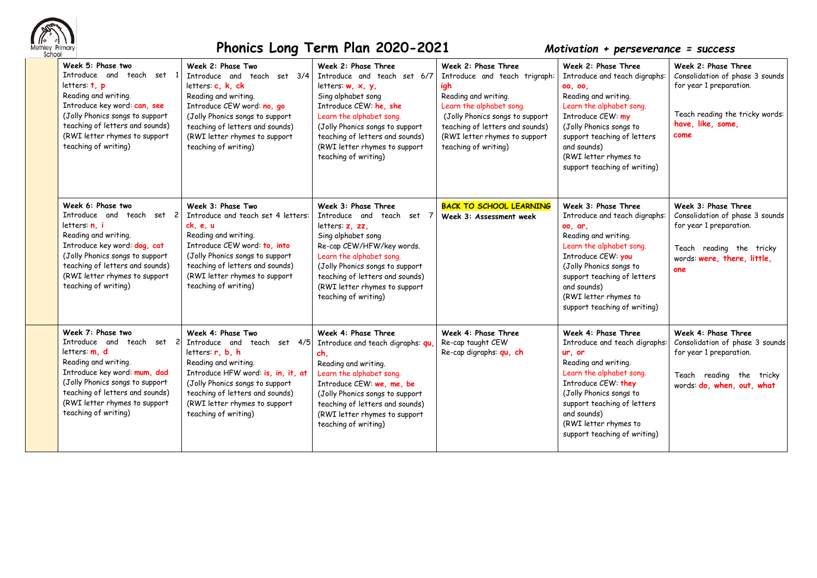

| Week 5: Phase two<br>Introduce and teach set 1<br>letters: $t$ , $p$<br>Reading and writing.<br>Introduce key word: can, see<br>(Jolly Phonics songs to support<br>teaching of letters and sounds)<br>(RWI letter rhymes to support<br>teaching of writing) | Week 2: Phase Two<br>Introduce and teach set 3/4<br>letters: c, k, ck<br>Reading and writing.<br>Introduce CEW word: no, go<br>(Jolly Phonics songs to support<br>teaching of letters and sounds)<br>(RWI letter rhymes to support<br>teaching of writing)        | Week 2: Phase Three<br>Introduce and teach set 6/7<br>letters $w, x, y$ ,<br>Sing alphabet song<br>Introduce CEW: he, she<br>Learn the alphabet song.<br>(Jolly Phonics songs to support<br>teaching of letters and sounds)<br>(RWI letter rhymes to support<br>teaching of writing) | Week 2: Phase Three<br>Introduce and teach trigraph:<br>igh<br>Reading and writing.<br>Learn the alphabet song.<br>(Jolly Phonics songs to support<br>teaching of letters and sounds)<br>(RWI letter rhymes to support<br>teaching of writing) | Week 2: Phase Three<br>Introduce and teach digraphs:<br>oa, oo,<br>Reading and writing.<br>Learn the alphabet song.<br>Introduce CEW: my<br>(Jolly Phonics songs to<br>support teaching of letters<br>and sounds)<br>(RWI letter rhymes to<br>support teaching of writing)  | Week 2: Phase Three<br>Consolidation of phase 3 sounds<br>for year 1 preparation.<br>Teach reading the tricky words:<br>have, like, some,<br>come   |
|-------------------------------------------------------------------------------------------------------------------------------------------------------------------------------------------------------------------------------------------------------------|-------------------------------------------------------------------------------------------------------------------------------------------------------------------------------------------------------------------------------------------------------------------|--------------------------------------------------------------------------------------------------------------------------------------------------------------------------------------------------------------------------------------------------------------------------------------|------------------------------------------------------------------------------------------------------------------------------------------------------------------------------------------------------------------------------------------------|-----------------------------------------------------------------------------------------------------------------------------------------------------------------------------------------------------------------------------------------------------------------------------|-----------------------------------------------------------------------------------------------------------------------------------------------------|
| Week 6: Phase two<br>Introduce and teach set 2<br>letters: n. i<br>Reading and writing.<br>Introduce key word: dog, cat<br>(Jolly Phonics songs to support<br>teaching of letters and sounds)<br>(RWI letter rhymes to support<br>teaching of writing)      | Week 3: Phase Two<br>Introduce and teach set 4 letters:<br>ck. e. u<br>Reading and writing.<br>Introduce CEW word: to, into<br>(Jolly Phonics songs to support<br>teaching of letters and sounds)<br>(RWI letter rhymes to support<br>teaching of writing)        | Week 3: Phase Three<br>Introduce and teach set 7<br>letters: z. zz.<br>Sing alphabet song<br>Re-cap CEW/HFW/key words.<br>Learn the alphabet song.<br>(Jolly Phonics songs to support<br>teaching of letters and sounds)<br>(RWI letter rhymes to support<br>teaching of writing)    | <b>BACK TO SCHOOL LEARNING</b><br>Week 3: Assessment week                                                                                                                                                                                      | Week 3: Phase Three<br>Introduce and teach digraphs:<br>00, ar,<br>Reading and writing.<br>Learn the alphabet song.<br>Introduce CEW: you<br>(Jolly Phonics songs to<br>support teaching of letters<br>and sounds)<br>(RWI letter rhymes to<br>support teaching of writing) | Week 3: Phase Three<br>Consolidation of phase 3 sounds<br>for year 1 preparation.<br>Teach reading the tricky<br>words: were, there, little,<br>one |
| Week 7: Phase two<br>Introduce and teach set 2<br>letters: m, d<br>Reading and writing.<br>Introduce key word: mum, dad<br>(Jolly Phonics songs to support<br>teaching of letters and sounds)<br>(RWI letter rhymes to support<br>teaching of writing)      | Week 4: Phase Two<br>Introduce and teach set 4/5<br>letters: r, b, h<br>Reading and writing.<br>Introduce HFW word: is, in, it, at<br>(Jolly Phonics songs to support<br>teaching of letters and sounds)<br>(RWI letter rhymes to support<br>teaching of writing) | Week 4: Phase Three<br>Introduce and teach digraphs: qu<br>ch,<br>Reading and writing.<br>Learn the alphabet song.<br>Introduce CEW: we, me, be<br>(Jolly Phonics songs to support<br>teaching of letters and sounds)<br>(RWI letter rhymes to support<br>teaching of writing)       | Week 4: Phase Three<br>Re-cap taught CEW<br>Re-cap digraphs: qu, ch                                                                                                                                                                            | Week 4: Phase Three<br>Introduce and teach digraphs:<br>ur, or<br>Reading and writing.<br>Learn the alphabet song.<br>Introduce CEW: they<br>(Jolly Phonics songs to<br>support teaching of letters<br>and sounds)<br>(RWI letter rhymes to<br>support teaching of writing) | Week 4: Phase Three<br>Consolidation of phase 3 sounds<br>for year 1 preparation.<br>Teach reading the tricky<br>words: do, when, out, what         |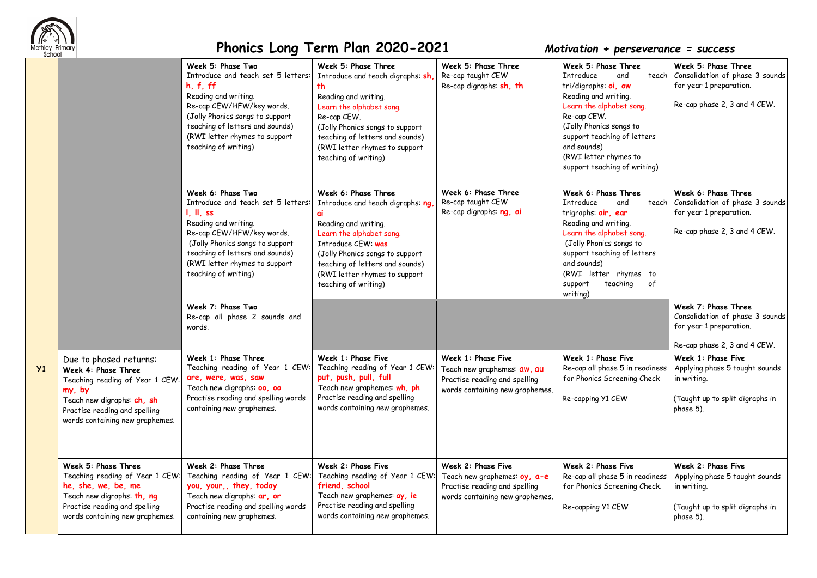

**Y1** 

|                                                                                                                                                                                              | Week 5: Phase Two<br>Introduce and teach set 5 letters:<br>h, f, ff<br>Reading and writing.<br>Re-cap CEW/HFW/key words.<br>(Jolly Phonics songs to support<br>teaching of letters and sounds)<br>(RWI letter rhymes to support<br>teaching of writing)  | Week 5: Phase Three<br>Introduce and teach digraphs: sh,<br>th<br>Reading and writing.<br>Learn the alphabet song.<br>Re-cap CEW.<br>(Jolly Phonics songs to support<br>teaching of letters and sounds)<br>(RWI letter rhymes to support<br>teaching of writing)       | Week 5: Phase Three<br>Re-cap taught CEW<br>Re-cap digraphs: sh, th                                                    | Week 5: Phase Three<br>Introduce<br>and<br>teach<br>tri/digraphs: oi, ow<br>Reading and writing.<br>Learn the alphabet song.<br>Re-cap CEW.<br>(Jolly Phonics songs to<br>support teaching of letters<br>and sounds)<br>(RWI letter rhymes to<br>support teaching of writing) | Week 5: Phase Three<br>Consolidation of phase 3 sounds<br>for year 1 preparation.<br>Re-cap phase 2, 3 and 4 CEW.   |
|----------------------------------------------------------------------------------------------------------------------------------------------------------------------------------------------|----------------------------------------------------------------------------------------------------------------------------------------------------------------------------------------------------------------------------------------------------------|------------------------------------------------------------------------------------------------------------------------------------------------------------------------------------------------------------------------------------------------------------------------|------------------------------------------------------------------------------------------------------------------------|-------------------------------------------------------------------------------------------------------------------------------------------------------------------------------------------------------------------------------------------------------------------------------|---------------------------------------------------------------------------------------------------------------------|
|                                                                                                                                                                                              | Week 6: Phase Two<br>Introduce and teach set 5 letters:<br>I, II, ss<br>Reading and writing.<br>Re-cap CEW/HFW/key words.<br>(Jolly Phonics songs to support<br>teaching of letters and sounds)<br>(RWI letter rhymes to support<br>teaching of writing) | Week 6: Phase Three<br>Introduce and teach digraphs: ng<br>ai<br>Reading and writing.<br>Learn the alphabet song.<br>Introduce CEW: was<br>(Jolly Phonics songs to support<br>teaching of letters and sounds)<br>(RWI letter rhymes to support<br>teaching of writing) | Week 6: Phase Three<br>Re-cap taught CEW<br>Re-cap digraphs: ng, ai                                                    | Week 6: Phase Three<br>Introduce<br>and<br>teach<br>trigraphs: air, ear<br>Reading and writing.<br>Learn the alphabet song.<br>(Jolly Phonics songs to<br>support teaching of letters<br>and sounds)<br>(RWI letter rhymes to<br>teaching<br>support<br>of<br>writing)        | Week 6: Phase Three<br>Consolidation of phase 3 sounds<br>for year 1 preparation.<br>Re-cap phase 2, 3 and 4 CEW.   |
|                                                                                                                                                                                              | Week 7: Phase Two<br>Re-cap all phase 2 sounds and<br>words.                                                                                                                                                                                             |                                                                                                                                                                                                                                                                        |                                                                                                                        |                                                                                                                                                                                                                                                                               | Week 7: Phase Three<br>Consolidation of phase 3 sounds<br>for year 1 preparation.<br>Re-cap phase 2, 3 and 4 CEW.   |
| Due to phased returns:<br>Week 4: Phase Three<br>Teaching reading of Year 1 CEW:<br>my, by<br>Teach new digraphs: ch, sh<br>Practise reading and spelling<br>words containing new graphemes. | Week 1: Phase Three<br>Teaching reading of Year 1 CEW:<br>are, were, was, saw<br>Teach new digraphs: 00, 00<br>Practise reading and spelling words<br>containing new graphemes.                                                                          | Week 1: Phase Five<br>Teaching reading of Year 1 CEW:<br>put, push, pull, full<br>Teach new graphemes: wh, ph<br>Practise reading and spelling<br>words containing new graphemes.                                                                                      | Week 1: Phase Five<br>Teach new graphemes: aw, au<br>Practise reading and spelling<br>words containing new graphemes.  | Week 1: Phase Five<br>Re-cap all phase 5 in readiness<br>for Phonics Screening Check<br>Re-capping Y1 CEW                                                                                                                                                                     | Week 1: Phase Five<br>Applying phase 5 taught sounds<br>in writing.<br>(Taught up to split digraphs in<br>phase 5). |
| Week 5: Phase Three<br>Teaching reading of Year 1 CEW<br>he, she, we, be, me<br>Teach new digraphs: th, ng<br>Practise reading and spelling<br>words containing new graphemes.               | Week 2: Phase Three<br>Teaching reading of Year 1 CEW:<br>you, your,, they, today<br>Teach new digraphs: ar, or<br>Practise reading and spelling words<br>containing new graphemes.                                                                      | Week 2: Phase Five<br>Teaching reading of Year 1 CEW:<br>friend, school<br>Teach new graphemes: ay, ie<br>Practise reading and spelling<br>words containing new graphemes.                                                                                             | Week 2: Phase Five<br>Teach new graphemes: oy, a-e<br>Practise reading and spelling<br>words containing new graphemes. | Week 2: Phase Five<br>Re-cap all phase 5 in readiness<br>for Phonics Screening Check.<br>Re-capping Y1 CEW                                                                                                                                                                    | Week 2: Phase Five<br>Applying phase 5 taught sounds<br>in writing.<br>(Taught up to split digraphs in<br>phase 5). |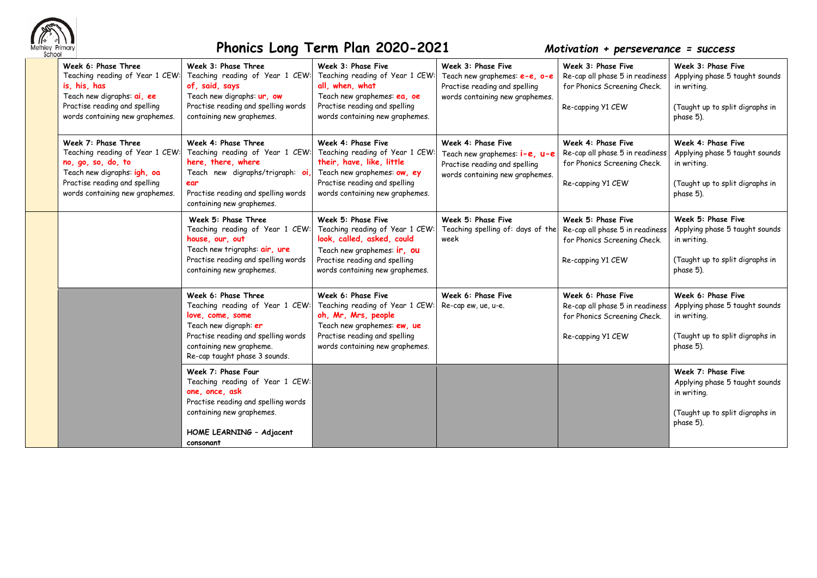

| Week 6: Phase Three<br>Teaching reading of Year 1 CEW:<br>is, his, has<br>Teach new digraphs: ai, ee<br>Practise reading and spelling<br>words containing new graphemes.        | Week 3: Phase Three<br>Teaching reading of Year 1 CEW:<br>of, said, says<br>Teach new digraphs: ur, ow<br>Practise reading and spelling words<br>containing new graphemes.                              | Week 3: Phase Five<br>Teaching reading of Year 1 CEW:<br>all, when, what<br>Teach new graphemes: ea, oe<br>Practise reading and spelling<br>words containing new graphemes.            | Week 3: Phase Five<br>Teach new graphemes: e-e, o-e<br>Practise reading and spelling<br>words containing new graphemes. | Week 3: Phase Five<br>Re-cap all phase 5 in readiness<br>for Phonics Screening Check.<br>Re-capping Y1 CEW | Week 3: Phase Five<br>Applying phase 5 taught sounds<br>in writing.<br>(Taught up to split digraphs in<br>phase 5). |
|---------------------------------------------------------------------------------------------------------------------------------------------------------------------------------|---------------------------------------------------------------------------------------------------------------------------------------------------------------------------------------------------------|----------------------------------------------------------------------------------------------------------------------------------------------------------------------------------------|-------------------------------------------------------------------------------------------------------------------------|------------------------------------------------------------------------------------------------------------|---------------------------------------------------------------------------------------------------------------------|
| Week 7: Phase Three<br>Teaching reading of Year 1 CEW:<br>no, go, so, do, to<br>Teach new digraphs: igh, oa<br>Practise reading and spelling<br>words containing new graphemes. | Week 4: Phase Three<br>Teaching reading of Year 1 CEW:<br>here, there, where<br>Teach new digraphs/trigraph: oi<br>ear<br>Practise reading and spelling words<br>containing new graphemes.              | Week 4: Phase Five<br>Teaching reading of Year 1 CEW:<br>their, have, like, little<br>Teach new graphemes: ow, ey<br>Practise reading and spelling<br>words containing new graphemes.  | Week 4: Phase Five<br>Teach new graphemes: i-e, u-e<br>Practise reading and spelling<br>words containing new graphemes. | Week 4: Phase Five<br>Re-cap all phase 5 in readiness<br>for Phonics Screening Check.<br>Re-capping Y1 CEW | Week 4: Phase Five<br>Applying phase 5 taught sounds<br>in writing.<br>(Taught up to split digraphs in<br>phase 5). |
|                                                                                                                                                                                 | Week 5: Phase Three<br>Teaching reading of Year 1 CEW:<br>house, our, out<br>Teach new trigraphs: air, ure<br>Practise reading and spelling words<br>containing new graphemes.                          | Week 5: Phase Five<br>Teaching reading of Year 1 CEW:<br>look, called, asked, could<br>Teach new graphemes: ir, ou<br>Practise reading and spelling<br>words containing new graphemes. | Week 5: Phase Five<br>Teaching spelling of: days of the<br>week                                                         | Week 5: Phase Five<br>Re-cap all phase 5 in readiness<br>for Phonics Screening Check.<br>Re-capping Y1 CEW | Week 5: Phase Five<br>Applying phase 5 taught sounds<br>in writing.<br>(Taught up to split digraphs in<br>phase 5). |
|                                                                                                                                                                                 | Week 6: Phase Three<br>Teaching reading of Year 1 CEW:<br>love, come, some<br>Teach new digraph: er<br>Practise reading and spelling words<br>containing new grapheme.<br>Re-cap taught phase 3 sounds. | Week 6: Phase Five<br>Teaching reading of Year 1 CEW:<br>oh, Mr, Mrs, people<br>Teach new graphemes: ew, ue<br>Practise reading and spelling<br>words containing new graphemes.        | Week 6: Phase Five<br>Re-cap ew, ue, u-e.                                                                               | Week 6: Phase Five<br>Re-cap all phase 5 in readiness<br>for Phonics Screening Check.<br>Re-capping Y1 CEW | Week 6: Phase Five<br>Applying phase 5 taught sounds<br>in writing.<br>(Taught up to split digraphs in<br>phase 5). |
|                                                                                                                                                                                 | Week 7: Phase Four<br>Teaching reading of Year 1 CEW:<br>one, once, ask<br>Practise reading and spelling words<br>containing new graphemes.<br>HOME LEARNING - Adjacent<br>consonant                    |                                                                                                                                                                                        |                                                                                                                         |                                                                                                            | Week 7: Phase Five<br>Applying phase 5 taught sounds<br>in writing.<br>(Taught up to split digraphs in<br>phase 5). |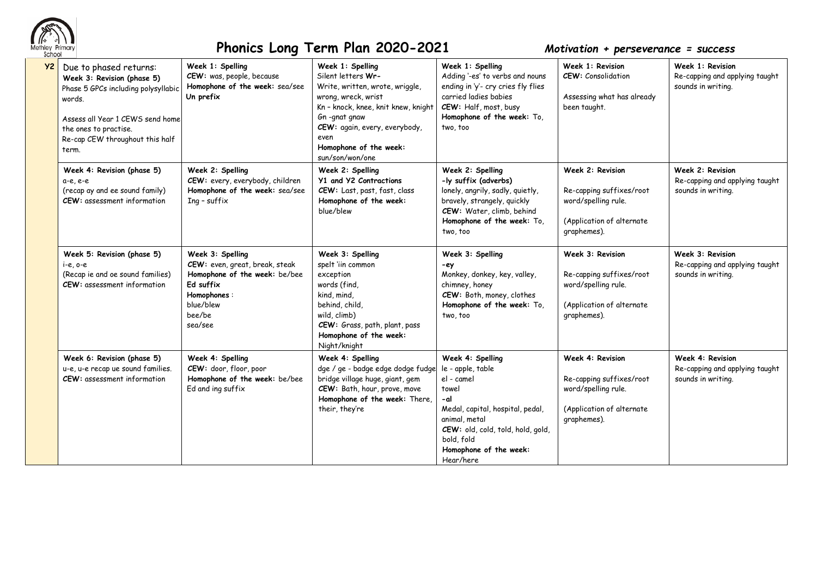

| Y2 | Due to phased returns:<br>Week 3: Revision (phase 5)<br>Phase 5 GPCs including polysyllabic<br>words.<br>Assess all Year 1 CEWS send home<br>the ones to practise.<br>Re-cap CEW throughout this half<br>term. | Week 1: Spelling<br>CEW: was, people, because<br>Homophone of the week: sea/see<br>Un prefix                                                      | Week 1: Spelling<br>Silent letters Wr-<br>Write, written, wrote, wriggle,<br>wrong, wreck, wrist<br>Kn - knock, knee, knit knew, knight<br>Gn-gnat gnaw<br>CEW: again, every, everybody,<br>even<br>Homophone of the week:<br>sun/son/won/one | Week 1: Spelling<br>Adding '-es' to verbs and nouns<br>ending in 'y'- cry cries fly flies<br>carried ladies babies<br>CEW: Half, most, busy<br>Homophone of the week: To,<br>two, too                              | Week 1: Revision<br><b>CEW:</b> Consolidation<br>Assessing what has already<br>been taught.                     | Week 1: Revision<br>Re-capping and applying taught<br>sounds in writing. |
|----|----------------------------------------------------------------------------------------------------------------------------------------------------------------------------------------------------------------|---------------------------------------------------------------------------------------------------------------------------------------------------|-----------------------------------------------------------------------------------------------------------------------------------------------------------------------------------------------------------------------------------------------|--------------------------------------------------------------------------------------------------------------------------------------------------------------------------------------------------------------------|-----------------------------------------------------------------------------------------------------------------|--------------------------------------------------------------------------|
|    | Week 4: Revision (phase 5)<br>$a-e, e-e$<br>(recap ay and ee sound family)<br><b>CEW:</b> assessment information                                                                                               | Week 2: Spelling<br>CEW: every, everybody, children<br>Homophone of the week: sea/see<br>$Inq$ - suffix                                           | Week 2: Spelling<br>Y1 and Y2 Contractions<br>CEW: Last, past, fast, class<br>Homophone of the week:<br>blue/blew                                                                                                                             | Week 2: Spelling<br>-ly suffix (adverbs)<br>lonely, angrily, sadly, quietly,<br>bravely, strangely, quickly<br>CEW: Water, climb, behind<br>Homophone of the week: To,<br>two, too                                 | Week 2: Revision<br>Re-capping suffixes/root<br>word/spelling rule.<br>(Application of alternate<br>graphemes). | Week 2: Revision<br>Re-capping and applying taught<br>sounds in writing. |
|    | Week 5: Revision (phase 5)<br>$i-e$ , $o-e$<br>(Recap ie and oe sound families)<br><b>CEW:</b> assessment information                                                                                          | Week 3: Spelling<br>CEW: even, great, break, steak<br>Homophone of the week: be/bee<br>Ed suffix<br>Homophones:<br>blue/blew<br>bee/be<br>sea/see | Week 3: Spelling<br>spelt 'iin common<br>exception<br>words (find,<br>kind, mind,<br>behind, child,<br>wild, climb)<br>CEW: Grass, path, plant, pass<br>Homophone of the week:<br>Night/knight                                                | Week 3: Spelling<br>-ey<br>Monkey, donkey, key, valley,<br>chimney, honey<br>CEW: Both, money, clothes<br>Homophone of the week: To,<br>two, too                                                                   | Week 3: Revision<br>Re-capping suffixes/root<br>word/spelling rule.<br>(Application of alternate<br>graphemes). | Week 3: Revision<br>Re-capping and applying taught<br>sounds in writing. |
|    | Week 6: Revision (phase 5)<br>u-e, u-e recap ue sound families.<br><b>CEW:</b> assessment information                                                                                                          | Week 4: Spelling<br>CEW: door, floor, poor<br>Homophone of the week: be/bee<br>Ed and ing suffix                                                  | Week 4: Spelling<br>dge / ge - badge edge dodge fudge<br>bridge village huge, giant, gem<br>CEW: Bath, hour, prove, move<br>Homophone of the week: There,<br>their, they're                                                                   | Week 4: Spelling<br>le - apple, table<br>el - camel<br>towel<br>-al<br>Medal, capital, hospital, pedal,<br>animal, metal<br>CEW: old, cold, told, hold, gold,<br>bold, fold<br>Homophone of the week:<br>Hear/here | Week 4: Revision<br>Re-capping suffixes/root<br>word/spelling rule.<br>(Application of alternate<br>graphemes). | Week 4: Revision<br>Re-capping and applying taught<br>sounds in writing. |